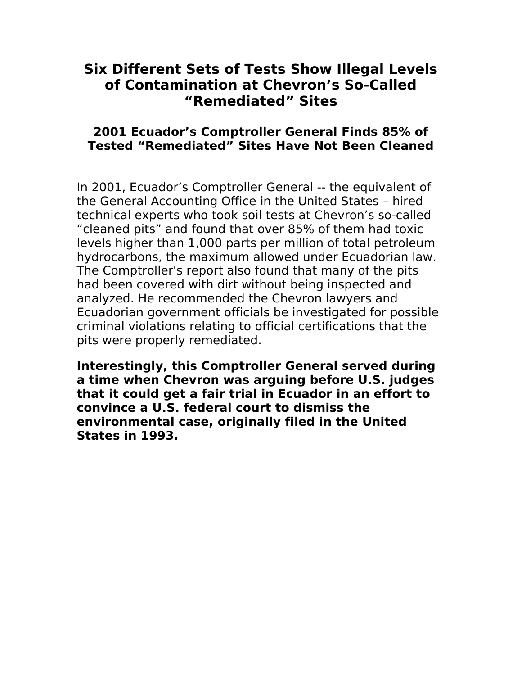# **Six Different Sets of Tests Show Illegal Levels of Contamination at Chevron's So-Called "Remediated" Sites**

### **2001 Ecuador's Comptroller General Finds 85% of Tested "Remediated" Sites Have Not Been Cleaned**

In 2001, Ecuador's Comptroller General -- the equivalent of the General Accounting Office in the United States – hired technical experts who took soil tests at Chevron's so-called "cleaned pits" and found that over 85% of them had toxic levels higher than 1,000 parts per million of total petroleum hydrocarbons, the maximum allowed under Ecuadorian law. The Comptroller's report also found that many of the pits had been covered with dirt without being inspected and analyzed. He recommended the Chevron lawyers and Ecuadorian government officials be investigated for possible criminal violations relating to official certifications that the pits were properly remediated.

**Interestingly, this Comptroller General served during a time when Chevron was arguing before U.S. judges that it could get a fair trial in Ecuador in an effort to convince a U.S. federal court to dismiss the environmental case, originally filed in the United States in 1993.**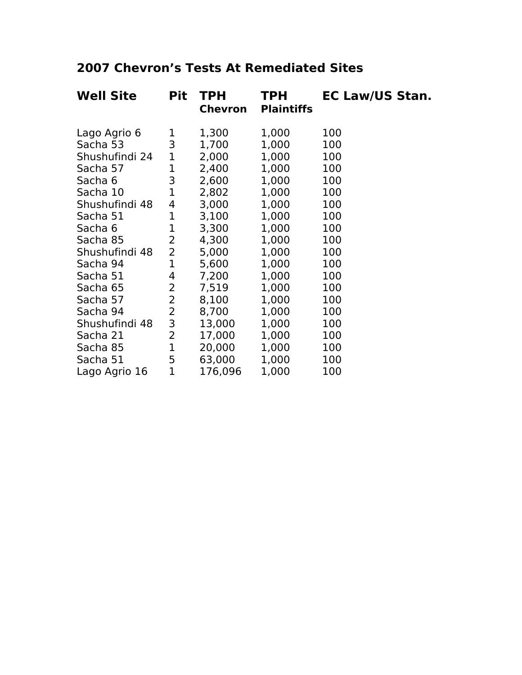# **2007 Chevron's Tests At Remediated Sites**

| <b>Well Site</b> | Pit            | <b>TPH</b><br><b>Chevron</b> | <b>TPH</b><br><b>Plaintiffs</b> | <b>EC Law/US Stan.</b> |
|------------------|----------------|------------------------------|---------------------------------|------------------------|
| Lago Agrio 6     | 1              | 1,300                        | 1,000                           | 100                    |
| Sacha 53         | 3              | 1,700                        | 1,000                           | 100                    |
| Shushufindi 24   | 1              | 2,000                        | 1,000                           | 100                    |
| Sacha 57         | 1              | 2,400                        | 1,000                           | 100                    |
| Sacha 6          | 3              | 2,600                        | 1,000                           | 100                    |
| Sacha 10         | 1              | 2,802                        | 1,000                           | 100                    |
| Shushufindi 48   | 4              | 3,000                        | 1,000                           | 100                    |
| Sacha 51         | 1              | 3,100                        | 1,000                           | 100                    |
| Sacha 6          | 1              | 3,300                        | 1,000                           | 100                    |
| Sacha 85         | 2              | 4,300                        | 1,000                           | 100                    |
| Shushufindi 48   | 2              | 5,000                        | 1,000                           | 100                    |
| Sacha 94         | 1              | 5,600                        | 1,000                           | 100                    |
| Sacha 51         | 4              | 7,200                        | 1,000                           | 100                    |
| Sacha 65         | 2              | 7,519                        | 1,000                           | 100                    |
| Sacha 57         | $\overline{2}$ | 8,100                        | 1,000                           | 100                    |
| Sacha 94         | $\overline{2}$ | 8,700                        | 1,000                           | 100                    |
| Shushufindi 48   | 3              | 13,000                       | 1,000                           | 100                    |
| Sacha 21         | 2              | 17,000                       | 1,000                           | 100                    |
| Sacha 85         | 1              | 20,000                       | 1,000                           | 100                    |
| Sacha 51         | 5              | 63,000                       | 1,000                           | 100                    |
| Lago Agrio 16    | 1              | 176,096                      | 1,000                           | 100                    |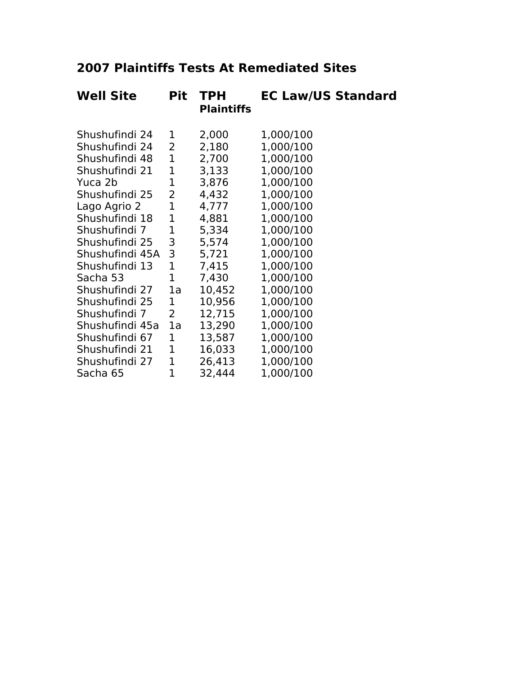# **2007 Plaintiffs Tests At Remediated Sites**

| <b>Well Site</b> | <b>Pit</b>     | <b>TPH</b><br><b>Plaintiffs</b> | <b>EC Law/US Standard</b> |
|------------------|----------------|---------------------------------|---------------------------|
| Shushufindi 24   | 1              | 2,000                           | 1,000/100                 |
| Shushufindi 24   | 2              | 2,180                           | 1,000/100                 |
| Shushufindi 48   | 1              | 2,700                           | 1,000/100                 |
| Shushufindi 21   | 1              | 3,133                           | 1,000/100                 |
| Yuca 2b          | 1              | 3,876                           | 1,000/100                 |
| Shushufindi 25   | 2              | 4,432                           | 1,000/100                 |
| Lago Agrio 2     | $\mathbf 1$    | 4,777                           | 1,000/100                 |
| Shushufindi 18   | $\mathbf 1$    | 4,881                           | 1,000/100                 |
| Shushufindi 7    | 1              | 5,334                           | 1,000/100                 |
| Shushufindi 25   | 3              | 5,574                           | 1,000/100                 |
| Shushufindi 45A  | 3              | 5,721                           | 1,000/100                 |
| Shushufindi 13   | $\mathbf 1$    | 7,415                           | 1,000/100                 |
| Sacha 53         | $\mathbf 1$    | 7,430                           | 1,000/100                 |
| Shushufindi 27   | 1a             | 10,452                          | 1,000/100                 |
| Shushufindi 25   | 1              | 10,956                          | 1,000/100                 |
| Shushufindi 7    | $\overline{2}$ | 12,715                          | 1,000/100                 |
| Shushufindi 45a  | 1a             | 13,290                          | 1,000/100                 |
| Shushufindi 67   | 1              | 13,587                          | 1,000/100                 |
| Shushufindi 21   | $\mathbf 1$    | 16,033                          | 1,000/100                 |
| Shushufindi 27   | $\mathbf 1$    | 26,413                          | 1,000/100                 |
| Sacha 65         | 1              | 32,444                          | 1,000/100                 |